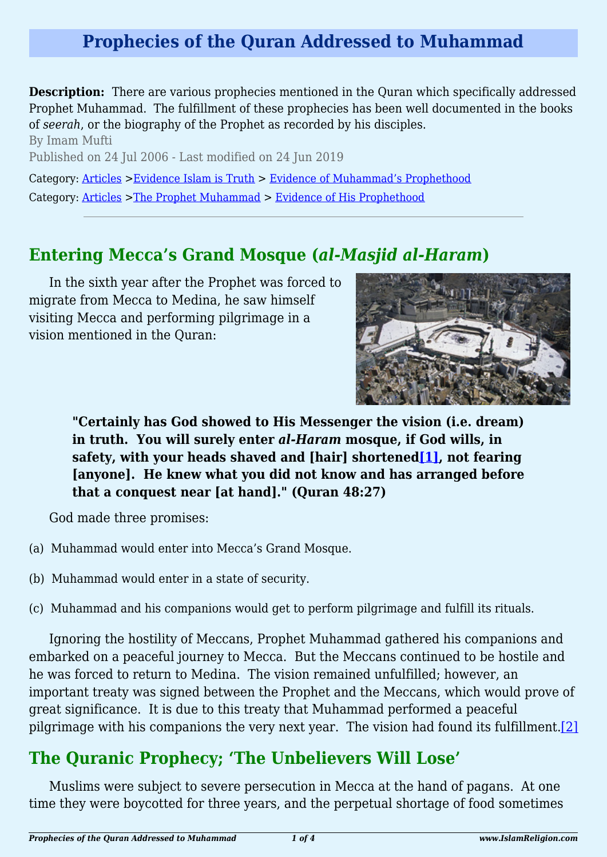# **Prophecies of the Quran Addressed to Muhammad**

**Description:** There are various prophecies mentioned in the Quran which specifically addressed Prophet Muhammad. The fulfillment of these prophecies has been well documented in the books of *seerah*, or the biography of the Prophet as recorded by his disciples.

By Imam Mufti Published on 24 Jul 2006 - Last modified on 24 Jun 2019 Category: [Articles](http://www.islamreligion.com/articles/) >[Evidence Islam is Truth](http://www.islamreligion.com/category/33/) > [Evidence of Muhammad's Prophethood](http://www.islamreligion.com/category/38/) Category: [Articles](http://www.islamreligion.com/articles/) >[The Prophet Muhammad](http://www.islamreligion.com/category/79/) > [Evidence of His Prophethood](http://www.islamreligion.com/category/118/)

### **Entering Mecca's Grand Mosque (***al-Masjid al-Haram***)**

In the sixth year after the Prophet was forced to migrate from Mecca to Medina, he saw himself visiting Mecca and performing pilgrimage in a vision mentioned in the Quran:



<span id="page-0-0"></span>**"Certainly has God showed to His Messenger the vision (i.e. dream) in truth. You will surely enter** *al-Haram* **mosque, if God wills, in safety, with your heads shaved and [hair] shortene[d\[1\],](#page-3-0) not fearing [anyone]. He knew what you did not know and has arranged before that a conquest near [at hand]." (Quran 48:27)**

God made three promises:

- (a) Muhammad would enter into Mecca's Grand Mosque.
- (b) Muhammad would enter in a state of security.
- (c) Muhammad and his companions would get to perform pilgrimage and fulfill its rituals.

Ignoring the hostility of Meccans, Prophet Muhammad gathered his companions and embarked on a peaceful journey to Mecca. But the Meccans continued to be hostile and he was forced to return to Medina. The vision remained unfulfilled; however, an important treaty was signed between the Prophet and the Meccans, which would prove of great significance. It is due to this treaty that Muhammad performed a peaceful pilgrimage with his companions the very next year. The vision had found its fulfillment.  $[2]$ 

### <span id="page-0-1"></span>**The Quranic Prophecy; 'The Unbelievers Will Lose'**

<span id="page-0-2"></span>Muslims were subject to severe persecution in Mecca at the hand of pagans. At one time they were boycotted for three years, and the perpetual shortage of food sometimes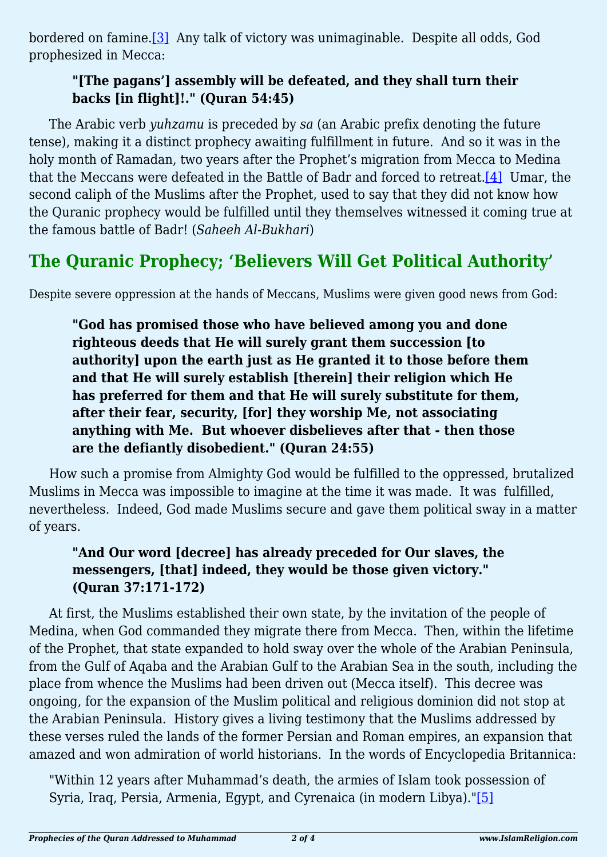bordered on famine[.\[3\]](#page-3-2) Any talk of victory was unimaginable. Despite all odds, God prophesized in Mecca:

#### **"[The pagans'] assembly will be defeated, and they shall turn their backs [in flight]!." (Quran 54:45)**

<span id="page-1-0"></span>The Arabic verb *yuhzamu* is preceded by *sa* (an Arabic prefix denoting the future tense), making it a distinct prophecy awaiting fulfillment in future. And so it was in the holy month of Ramadan, two years after the Prophet's migration from Mecca to Medina that the Meccans were defeated in the Battle of Badr and forced to retreat[.\[4\]](#page-3-3) Umar, the second caliph of the Muslims after the Prophet, used to say that they did not know how the Quranic prophecy would be fulfilled until they themselves witnessed it coming true at the famous battle of Badr! (*Saheeh Al-Bukhari*)

# **The Quranic Prophecy; 'Believers Will Get Political Authority'**

Despite severe oppression at the hands of Meccans, Muslims were given good news from God:

**"God has promised those who have believed among you and done righteous deeds that He will surely grant them succession [to authority] upon the earth just as He granted it to those before them and that He will surely establish [therein] their religion which He has preferred for them and that He will surely substitute for them, after their fear, security, [for] they worship Me, not associating anything with Me. But whoever disbelieves after that - then those are the defiantly disobedient." (Quran 24:55)**

How such a promise from Almighty God would be fulfilled to the oppressed, brutalized Muslims in Mecca was impossible to imagine at the time it was made. It was fulfilled, nevertheless. Indeed, God made Muslims secure and gave them political sway in a matter of years.

### **"And Our word [decree] has already preceded for Our slaves, the messengers, [that] indeed, they would be those given victory." (Quran 37:171-172)**

At first, the Muslims established their own state, by the invitation of the people of Medina, when God commanded they migrate there from Mecca. Then, within the lifetime of the Prophet, that state expanded to hold sway over the whole of the Arabian Peninsula, from the Gulf of Aqaba and the Arabian Gulf to the Arabian Sea in the south, including the place from whence the Muslims had been driven out (Mecca itself). This decree was ongoing, for the expansion of the Muslim political and religious dominion did not stop at the Arabian Peninsula. History gives a living testimony that the Muslims addressed by these verses ruled the lands of the former Persian and Roman empires, an expansion that amazed and won admiration of world historians. In the words of Encyclopedia Britannica:

<span id="page-1-1"></span>"Within 12 years after Muhammad's death, the armies of Islam took possession of Syria, Iraq, Persia, Armenia, Egypt, and Cyrenaica (in modern Libya)."[\[5\]](#page-3-4)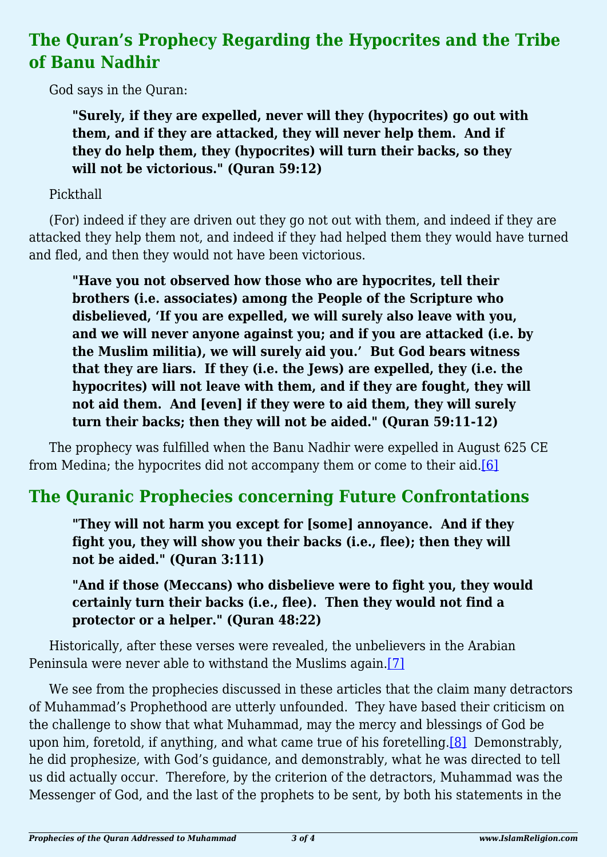# **The Quran's Prophecy Regarding the Hypocrites and the Tribe of Banu Nadhir**

God says in the Quran:

**"Surely, if they are expelled, never will they (hypocrites) go out with them, and if they are attacked, they will never help them. And if they do help them, they (hypocrites) will turn their backs, so they will not be victorious." (Quran 59:12)**

### Pickthall

(For) indeed if they are driven out they go not out with them, and indeed if they are attacked they help them not, and indeed if they had helped them they would have turned and fled, and then they would not have been victorious.

**"Have you not observed how those who are hypocrites, tell their brothers (i.e. associates) among the People of the Scripture who disbelieved, 'If you are expelled, we will surely also leave with you, and we will never anyone against you; and if you are attacked (i.e. by the Muslim militia), we will surely aid you.' But God bears witness that they are liars. If they (i.e. the Jews) are expelled, they (i.e. the hypocrites) will not leave with them, and if they are fought, they will not aid them. And [even] if they were to aid them, they will surely turn their backs; then they will not be aided." (Quran 59:11-12)**

<span id="page-2-0"></span>The prophecy was fulfilled when the Banu Nadhir were expelled in August 625 CE from Medina; the hypocrites did not accompany them or come to their aid[.\[6\]](#page-3-5)

# **The Quranic Prophecies concerning Future Confrontations**

**"They will not harm you except for [some] annoyance. And if they fight you, they will show you their backs (i.e., flee); then they will not be aided." (Quran 3:111)**

**"And if those (Meccans) who disbelieve were to fight you, they would certainly turn their backs (i.e., flee). Then they would not find a protector or a helper." (Quran 48:22)**

<span id="page-2-1"></span>Historically, after these verses were revealed, the unbelievers in the Arabian Peninsula were never able to withstand the Muslims again[.\[7\]](#page-3-6)

<span id="page-2-2"></span>We see from the prophecies discussed in these articles that the claim many detractors of Muhammad's Prophethood are utterly unfounded. They have based their criticism on the challenge to show that what Muhammad, may the mercy and blessings of God be upon him, foretold, if anything, and what came true of his foretelling[.\[8\]](#page-3-7) Demonstrably, he did prophesize, with God's guidance, and demonstrably, what he was directed to tell us did actually occur. Therefore, by the criterion of the detractors, Muhammad was the Messenger of God, and the last of the prophets to be sent, by both his statements in the